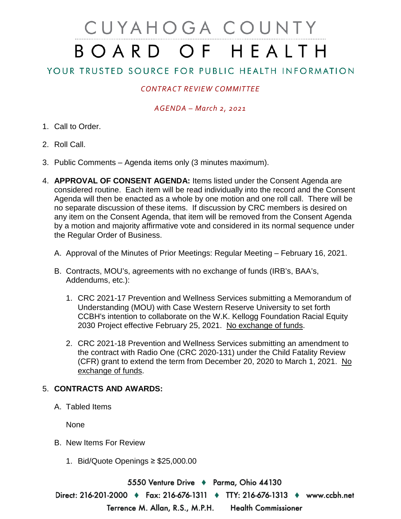# CUYAHOGA COUNTY BOARD OF HEALTH

# YOUR TRUSTED SOURCE FOR PUBLIC HEALTH INFORMATION

## *CONTRACT REVIEW COMMITTEE*

#### *AGENDA – March 2, 2021*

- 1. Call to Order.
- 2. Roll Call.
- 3. Public Comments Agenda items only (3 minutes maximum).
- 4. **APPROVAL OF CONSENT AGENDA:** Items listed under the Consent Agenda are considered routine. Each item will be read individually into the record and the Consent Agenda will then be enacted as a whole by one motion and one roll call. There will be no separate discussion of these items. If discussion by CRC members is desired on any item on the Consent Agenda, that item will be removed from the Consent Agenda by a motion and majority affirmative vote and considered in its normal sequence under the Regular Order of Business.
	- A. Approval of the Minutes of Prior Meetings: Regular Meeting February 16, 2021.
	- B. Contracts, MOU's, agreements with no exchange of funds (IRB's, BAA's, Addendums, etc.):
		- 1. CRC 2021-17 Prevention and Wellness Services submitting a Memorandum of Understanding (MOU) with Case Western Reserve University to set forth CCBH's intention to collaborate on the W.K. Kellogg Foundation Racial Equity 2030 Project effective February 25, 2021. No exchange of funds.
		- 2. CRC 2021-18 Prevention and Wellness Services submitting an amendment to the contract with Radio One (CRC 2020-131) under the Child Fatality Review (CFR) grant to extend the term from December 20, 2020 to March 1, 2021. No exchange of funds.

### 5. **CONTRACTS AND AWARDS:**

A. Tabled Items

None

- B. New Items For Review
	- 1. Bid/Quote Openings ≥ \$25,000.00

5550 Venture Drive ♦ Parma, Ohio 44130 Direct: 216-201-2000 ♦ Fax: 216-676-1311 ♦ TTY: 216-676-1313 ♦ www.ccbh.net Terrence M. Allan, R.S., M.P.H. **Health Commissioner**